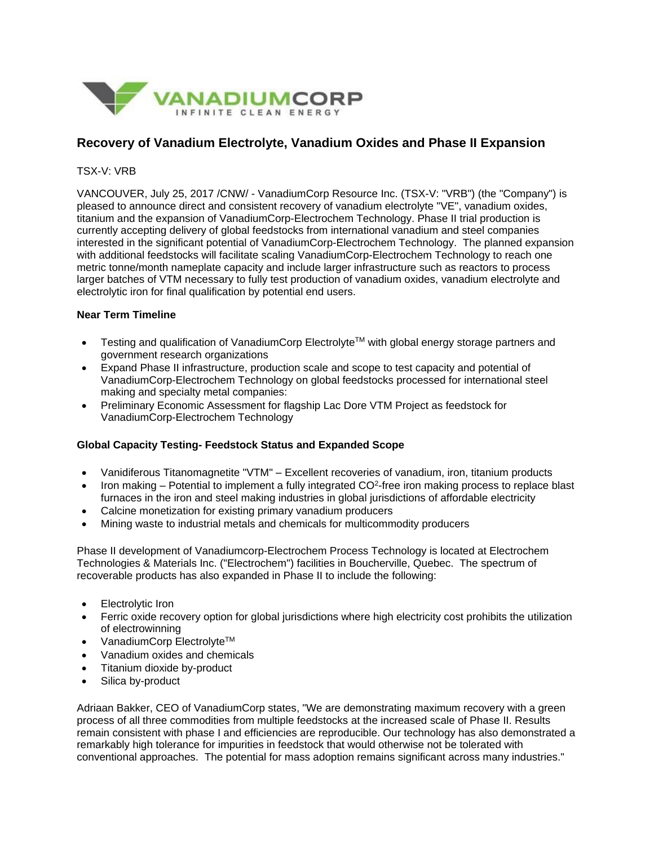

## **Recovery of Vanadium Electrolyte, Vanadium Oxides and Phase II Expansion**

TSX-V: VRB

VANCOUVER, July 25, 2017 /CNW/ - VanadiumCorp Resource Inc. (TSX-V: "VRB") (the "Company") is pleased to announce direct and consistent recovery of vanadium electrolyte "VE", vanadium oxides, titanium and the expansion of VanadiumCorp-Electrochem Technology. Phase II trial production is currently accepting delivery of global feedstocks from international vanadium and steel companies interested in the significant potential of VanadiumCorp-Electrochem Technology. The planned expansion with additional feedstocks will facilitate scaling VanadiumCorp-Electrochem Technology to reach one metric tonne/month nameplate capacity and include larger infrastructure such as reactors to process larger batches of VTM necessary to fully test production of vanadium oxides, vanadium electrolyte and electrolytic iron for final qualification by potential end users.

## **Near Term Timeline**

- Testing and qualification of VanadiumCorp Electrolyte<sup>™</sup> with global energy storage partners and government research organizations
- Expand Phase II infrastructure, production scale and scope to test capacity and potential of VanadiumCorp-Electrochem Technology on global feedstocks processed for international steel making and specialty metal companies:
- Preliminary Economic Assessment for flagship Lac Dore VTM Project as feedstock for VanadiumCorp-Electrochem Technology

## **Global Capacity Testing- Feedstock Status and Expanded Scope**

- Vanidiferous Titanomagnetite "VTM" Excellent recoveries of vanadium, iron, titanium products
- Iron making Potential to implement a fully integrated  $CO<sup>2</sup>$ -free iron making process to replace blast furnaces in the iron and steel making industries in global jurisdictions of affordable electricity
- Calcine monetization for existing primary vanadium producers
- Mining waste to industrial metals and chemicals for multicommodity producers

Phase II development of Vanadiumcorp-Electrochem Process Technology is located at Electrochem Technologies & Materials Inc. ("Electrochem") facilities in Boucherville, Quebec. The spectrum of recoverable products has also expanded in Phase II to include the following:

- Electrolytic Iron
- Ferric oxide recovery option for global jurisdictions where high electricity cost prohibits the utilization of electrowinning
- VanadiumCorp Electrolyte<sup>TM</sup>
- Vanadium oxides and chemicals
- Titanium dioxide by-product
- Silica by-product

Adriaan Bakker, CEO of VanadiumCorp states, "We are demonstrating maximum recovery with a green process of all three commodities from multiple feedstocks at the increased scale of Phase II. Results remain consistent with phase I and efficiencies are reproducible. Our technology has also demonstrated a remarkably high tolerance for impurities in feedstock that would otherwise not be tolerated with conventional approaches. The potential for mass adoption remains significant across many industries."